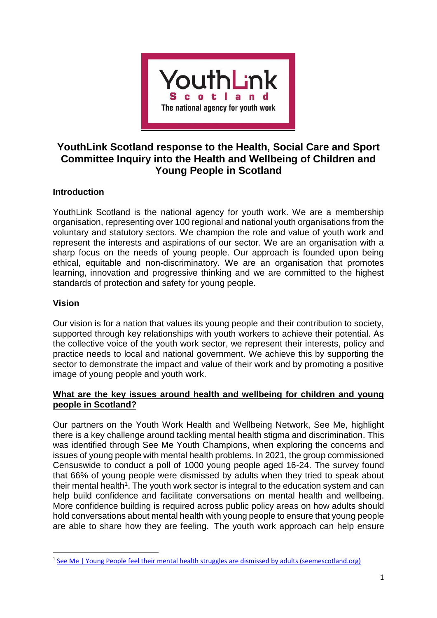

# **YouthLink Scotland response to the Health, Social Care and Sport Committee Inquiry into the Health and Wellbeing of Children and Young People in Scotland**

## **Introduction**

YouthLink Scotland is the national agency for youth work. We are a membership organisation, representing over 100 regional and national youth organisations from the voluntary and statutory sectors. We champion the role and value of youth work and represent the interests and aspirations of our sector. We are an organisation with a sharp focus on the needs of young people. Our approach is founded upon being ethical, equitable and non-discriminatory. We are an organisation that promotes learning, innovation and progressive thinking and we are committed to the highest standards of protection and safety for young people.

#### **Vision**

**.** 

Our vision is for a nation that values its young people and their contribution to society, supported through key relationships with youth workers to achieve their potential. As the collective voice of the youth work sector, we represent their interests, policy and practice needs to local and national government. We achieve this by supporting the sector to demonstrate the impact and value of their work and by promoting a positive image of young people and youth work.

#### **What are the key issues around health and wellbeing for children and young people in Scotland?**

Our partners on the Youth Work Health and Wellbeing Network, See Me, highlight there is a key challenge around tackling mental health stigma and discrimination. This was identified through See Me Youth Champions, when exploring the concerns and issues of young people with mental health problems. In 2021, the group commissioned Censuswide to conduct a poll of 1000 young people aged 16-24. The survey found that 66% of young people were dismissed by adults when they tried to speak about their mental health<sup>1</sup>. The youth work sector is integral to the education system and can help build confidence and facilitate conversations on mental health and wellbeing. More confidence building is required across public policy areas on how adults should hold conversations about mental health with young people to ensure that young people are able to share how they are feeling. The youth work approach can help ensure

<sup>&</sup>lt;sup>1</sup> [See Me | Young People feel their mental health struggles are dismissed by adults \(seemescotland.org\)](https://www.seemescotland.org/news-and-blogs/young-people-feel-their-mental-health-struggles-are-dismissed-by-adults/)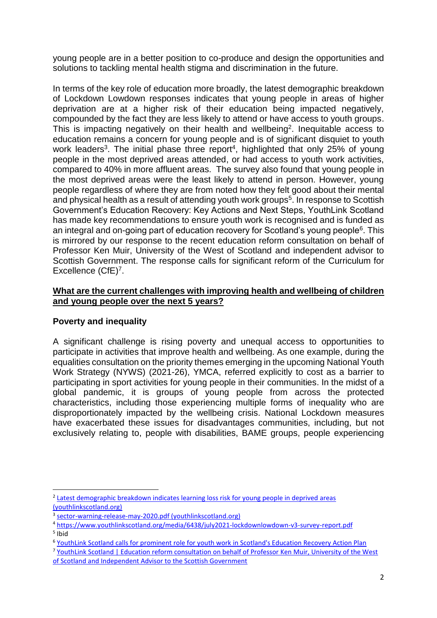young people are in a better position to co-produce and design the opportunities and solutions to tackling mental health stigma and discrimination in the future.

In terms of the key role of education more broadly, the latest demographic breakdown of Lockdown Lowdown responses indicates that young people in areas of higher deprivation are at a higher risk of their education being impacted negatively, compounded by the fact they are less likely to attend or have access to youth groups. This is impacting negatively on their health and wellbeing<sup>2</sup>. Inequitable access to education remains a concern for young people and is of significant disquiet to youth work leaders<sup>3</sup>. The initial phase three report<sup>4</sup>, highlighted that only 25% of young people in the most deprived areas attended, or had access to youth work activities, compared to 40% in more affluent areas. The survey also found that young people in the most deprived areas were the least likely to attend in person. However, young people regardless of where they are from noted how they felt good about their mental and physical health as a result of attending youth work groups<sup>5</sup>. In response to Scottish Government's Education Recovery: Key Actions and Next Steps, YouthLink Scotland has made key recommendations to ensure youth work is recognised and is funded as an integral and on-going part of education recovery for Scotland's young people<sup>6</sup>. This is mirrored by our response to the recent education reform consultation on behalf of Professor Ken Muir, University of the West of Scotland and independent advisor to Scottish Government. The response calls for significant reform of the Curriculum for Excellence (CfE)<sup>7</sup>.

#### **What are the current challenges with improving health and wellbeing of children and young people over the next 5 years?**

## **Poverty and inequality**

1

A significant challenge is rising poverty and unequal access to opportunities to participate in activities that improve health and wellbeing. As one example, during the equalities consultation on the priority themes emerging in the upcoming National Youth Work Strategy (NYWS) (2021-26), YMCA, referred explicitly to cost as a barrier to participating in sport activities for young people in their communities. In the midst of a global pandemic, it is groups of young people from across the protected characteristics, including those experiencing multiple forms of inequality who are disproportionately impacted by the wellbeing crisis. National Lockdown measures have exacerbated these issues for disadvantages communities, including, but not exclusively relating to, people with disabilities, BAME groups, people experiencing

<sup>&</sup>lt;sup>2</sup> [Latest demographic breakdown indicates learning loss risk for young people in deprived areas](https://www.youthlinkscotland.org/news/november-2021/lockdown-lowdown-3-demographic/) [\(youthlinkscotland.org\)](https://www.youthlinkscotland.org/news/november-2021/lockdown-lowdown-3-demographic/)

<sup>&</sup>lt;sup>3</sup> [sector-warning-release-may-2020.pdf \(youthlinkscotland.org\)](https://www.youthlinkscotland.org/media/4529/sector-warning-release-may-2020.pdf)

<sup>4</sup> <https://www.youthlinkscotland.org/media/6438/july2021-lockdownlowdown-v3-survey-report.pdf> 5 Ibid

<sup>6</sup> [YouthLink Scotland calls for prominent role for youth work in Scotland's Education Recovery Action Plan](https://www.youthlinkscotland.org/news/november-2021/youthlink-scotland-calls-for-prominent-role-for-youth-work-in-scotlands-education-recovery-action-plan/)

<sup>7</sup> [YouthLink Scotland | Education reform consultation on behalf of Professor Ken Muir, University of the West](https://www.youthlinkscotland.org/news/november-2021/education-reform-consultation-on-behalf-of-professor-ken-muir-university-of-the-west-of-scotland-and-independent-advisor-to-the-scottish-government/)  [of Scotland and Independent Advisor to the Scottish Government](https://www.youthlinkscotland.org/news/november-2021/education-reform-consultation-on-behalf-of-professor-ken-muir-university-of-the-west-of-scotland-and-independent-advisor-to-the-scottish-government/)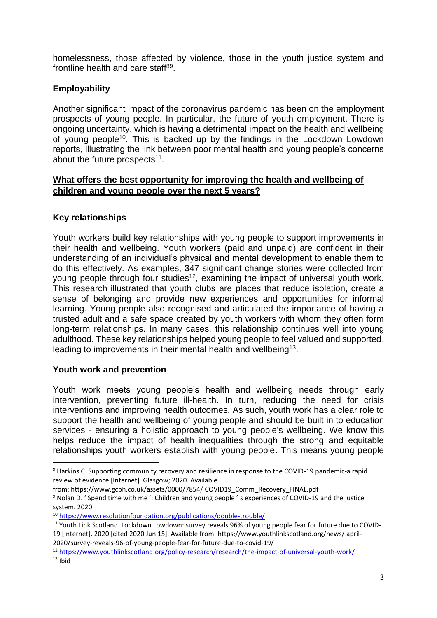homelessness, those affected by violence, those in the youth justice system and frontline health and care staff<sup>89</sup>.

## **Employability**

Another significant impact of the coronavirus pandemic has been on the employment prospects of young people. In particular, the future of youth employment. There is ongoing uncertainty, which is having a detrimental impact on the health and wellbeing of young people<sup>10</sup>. This is backed up by the findings in the Lockdown Lowdown reports, illustrating the link between poor mental health and young people's concerns about the future prospects<sup>11</sup>.

### **What offers the best opportunity for improving the health and wellbeing of children and young people over the next 5 years?**

## **Key relationships**

Youth workers build key relationships with young people to support improvements in their health and wellbeing. Youth workers (paid and unpaid) are confident in their understanding of an individual's physical and mental development to enable them to do this effectively. As examples, 347 significant change stories were collected from young people through four studies<sup>12</sup>, examining the impact of universal youth work. This research illustrated that youth clubs are places that reduce isolation, create a sense of belonging and provide new experiences and opportunities for informal learning. Young people also recognised and articulated the importance of having a trusted adult and a safe space created by youth workers with whom they often form long-term relationships. In many cases, this relationship continues well into young adulthood. These key relationships helped young people to feel valued and supported, leading to improvements in their mental health and wellbeing<sup>13</sup>.

#### **Youth work and prevention**

Youth work meets young people's health and wellbeing needs through early intervention, preventing future ill-health. In turn, reducing the need for crisis interventions and improving health outcomes. As such, youth work has a clear role to support the health and wellbeing of young people and should be built in to education services - ensuring a holistic approach to young people's wellbeing. We know this helps reduce the impact of health inequalities through the strong and equitable relationships youth workers establish with young people. This means young people

 $\overline{a}$ 

<sup>8</sup> Harkins C. Supporting community recovery and resilience in response to the COVID-19 pandemic-a rapid review of evidence [Internet]. Glasgow; 2020. Available

from: <https://www.gcph.co.uk/assets/0000/7854/> COVID19\_Comm\_Recovery\_FINAL.pdf

<sup>9</sup> Nolan D. ' Spend time with me ': Children and young people ' s experiences of COVID-19 and the justice system. 2020.

<sup>10</sup> <https://www.resolutionfoundation.org/publications/double-trouble/>

<sup>&</sup>lt;sup>11</sup> Youth Link Scotland. Lockdown Lowdown: survey reveals 96% of young people fear for future due to COVID-19 [Internet]. 2020 [cited 2020 Jun 15]. Available from: <https://www.youthlinkscotland.org/news/> april-2020/survey-reveals-96-of-young-people-fear-for-future-due-to-covid-19/

<sup>12</sup> <https://www.youthlinkscotland.org/policy-research/research/the-impact-of-universal-youth-work/>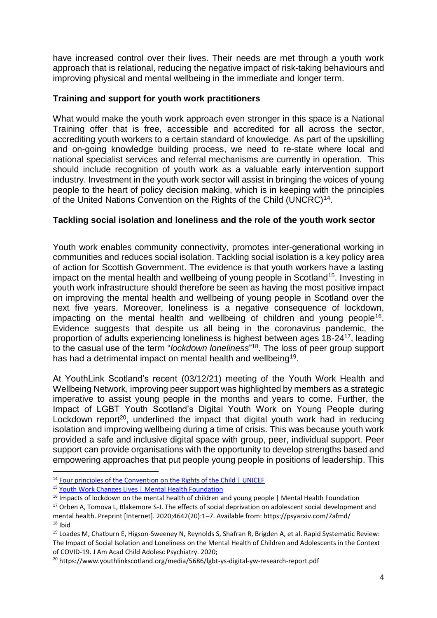have increased control over their lives. Their needs are met through a youth work approach that is relational, reducing the negative impact of risk-taking behaviours and improving physical and mental wellbeing in the immediate and longer term.

#### **Training and support for youth work practitioners**

What would make the youth work approach even stronger in this space is a National Training offer that is free, accessible and accredited for all across the sector, accrediting youth workers to a certain standard of knowledge. As part of the upskilling and on-going knowledge building process, we need to re-state where local and national specialist services and referral mechanisms are currently in operation. This should include recognition of youth work as a valuable early intervention support industry. Investment in the youth work sector will assist in bringing the voices of young people to the heart of policy decision making, which is in keeping with the principles of the United Nations Convention on the Rights of the Child (UNCRC)<sup>14</sup>.

#### **Tackling social isolation and loneliness and the role of the youth work sector**

Youth work enables community connectivity, promotes inter-generational working in communities and reduces social isolation. Tackling social isolation is a key policy area of action for Scottish Government. The evidence is that youth workers have a lasting impact on the mental health and wellbeing of young people in Scotland<sup>15</sup>. Investing in youth work infrastructure should therefore be seen as having the most positive impact on improving the mental health and wellbeing of young people in Scotland over the next five years. Moreover, loneliness is a negative consequence of lockdown, impacting on the mental health and wellbeing of children and young people<sup>16</sup>. Evidence suggests that despite us all being in the coronavirus pandemic, the proportion of adults experiencing loneliness is highest between ages 18-24<sup>17</sup>, leading to the casual use of the term "*lockdown loneliness*" 18 . The loss of peer group support has had a detrimental impact on mental health and wellbeing<sup>19</sup>.

At YouthLink Scotland's recent (03/12/21) meeting of the Youth Work Health and Wellbeing Network, improving peer support was highlighted by members as a strategic imperative to assist young people in the months and years to come. Further, the Impact of LGBT Youth Scotland's Digital Youth Work on Young People during Lockdown report<sup>20</sup>, underlined the impact that digital youth work had in reducing isolation and improving wellbeing during a time of crisis. This was because youth work provided a safe and inclusive digital space with group, peer, individual support. Peer support can provide organisations with the opportunity to develop strengths based and empowering approaches that put people young people in positions of leadership. This

1

<sup>&</sup>lt;sup>14</sup> [Four principles of the Convention on the Rights of the Child | UNICEF](https://www.unicef.org/armenia/en/stories/four-principles-convention-rights-child#:~:text=One%20general%20principle%20as%20identified%20by%20the%20committee,and%20should%20never%20be%20subjected%20to%20any%20discrimination.)

<sup>15</sup> [Youth Work Changes Lives | Mental Health Foundation](https://www.mentalhealth.org.uk/blog/youth-work-changes-lives)

<sup>&</sup>lt;sup>16</sup> Impacts of lockdown on the mental health of children and young people | Mental Health Foundation

<sup>&</sup>lt;sup>17</sup> Orben A, Tomova L, Blakemore S-J. The effects of social deprivation on adolescent social development and mental health. Preprint [Internet]. 2020;4642(20):1–7. Available from: <https://psyarxiv.com/7afmd/>  $18$  Ibid

<sup>19</sup> Loades M, Chatburn E, Higson-Sweeney N, Reynolds S, Shafran R, Brigden A, et al. Rapid Systematic Review: The Impact of Social Isolation and Loneliness on the Mental Health of Children and Adolescents in the Context of COVID-19. J Am Acad Child Adolesc Psychiatry. 2020;

<sup>20</sup> https://www.youthlinkscotland.org/media/5686/lgbt-ys-digital-yw-research-report.pdf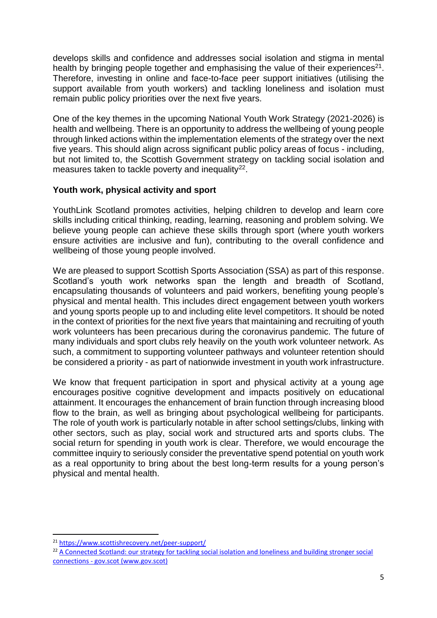develops skills and confidence and addresses social isolation and stigma in mental health by bringing people together and emphasising the value of their experiences $21$ . Therefore, investing in online and face-to-face peer support initiatives (utilising the support available from youth workers) and tackling loneliness and isolation must remain public policy priorities over the next five years.

One of the key themes in the upcoming National Youth Work Strategy (2021-2026) is health and wellbeing. There is an opportunity to address the wellbeing of young people through linked actions within the implementation elements of the strategy over the next five years. This should align across significant public policy areas of focus - including, but not limited to, the Scottish Government strategy on tackling social isolation and measures taken to tackle poverty and inequality $^{22}$ .

#### **Youth work, physical activity and sport**

YouthLink Scotland promotes activities, helping children to develop and learn core skills including critical thinking, reading, learning, reasoning and problem solving. We believe young people can achieve these skills through sport (where youth workers ensure activities are inclusive and fun), contributing to the overall confidence and wellbeing of those young people involved.

We are pleased to support Scottish Sports Association (SSA) as part of this response. Scotland's youth work networks span the length and breadth of Scotland, encapsulating thousands of volunteers and paid workers, benefiting young people's physical and mental health. This includes direct engagement between youth workers and young sports people up to and including elite level competitors. It should be noted in the context of priorities for the next five years that maintaining and recruiting of youth work volunteers has been precarious during the coronavirus pandemic. The future of many individuals and sport clubs rely heavily on the youth work volunteer network. As such, a commitment to supporting volunteer pathways and volunteer retention should be considered a priority - as part of nationwide investment in youth work infrastructure.

We know that frequent participation in sport and physical activity at a young age encourages positive cognitive development and impacts positively on educational attainment. It encourages the enhancement of brain function through increasing blood flow to the brain, as well as bringing about psychological wellbeing for participants. The role of youth work is particularly notable in after school settings/clubs, linking with other sectors, such as play, social work and structured arts and sports clubs. The social return for spending in youth work is clear. Therefore, we would encourage the committee inquiry to seriously consider the preventative spend potential on youth work as a real opportunity to bring about the best long-term results for a young person's physical and mental health.

**.** 

<sup>21</sup> <https://www.scottishrecovery.net/peer-support/>

<sup>&</sup>lt;sup>22</sup> A Connected Scotland: our strategy for tackling social isolation and loneliness and building stronger social connections - [gov.scot \(www.gov.scot\)](https://www.gov.scot/publications/connected-scotland-strategy-tackling-social-isolation-loneliness-building-stronger-social-connections/)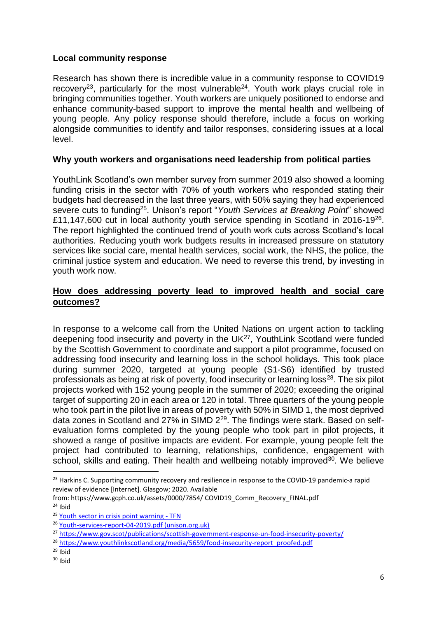## **Local community response**

Research has shown there is incredible value in a community response to COVID19 recovery<sup>23</sup>, particularly for the most vulnerable<sup>24</sup>. Youth work plays crucial role in bringing communities together. Youth workers are uniquely positioned to endorse and enhance community-based support to improve the mental health and wellbeing of young people. Any policy response should therefore, include a focus on working alongside communities to identify and tailor responses, considering issues at a local level.

#### **Why youth workers and organisations need leadership from political parties**

YouthLink Scotland's own member survey from summer 2019 also showed a looming funding crisis in the sector with 70% of youth workers who responded stating their budgets had decreased in the last three years, with 50% saying they had experienced severe cuts to funding<sup>25</sup>. Unison's report "Youth Services at Breaking Point" showed £11,147,600 cut in local authority youth service spending in Scotland in 2016-19<sup>26</sup>. The report highlighted the continued trend of youth work cuts across Scotland's local authorities. Reducing youth work budgets results in increased pressure on statutory services like social care, mental health services, social work, the NHS, the police, the criminal justice system and education. We need to reverse this trend, by investing in youth work now.

#### **How does addressing poverty lead to improved health and social care outcomes?**

In response to a welcome call from the United Nations on urgent action to tackling deepening food insecurity and poverty in the UK<sup>27</sup>, YouthLink Scotland were funded by the Scottish Government to coordinate and support a pilot programme, focused on addressing food insecurity and learning loss in the school holidays. This took place during summer 2020, targeted at young people (S1-S6) identified by trusted professionals as being at risk of poverty, food insecurity or learning loss<sup>28</sup>. The six pilot projects worked with 152 young people in the summer of 2020; exceeding the original target of supporting 20 in each area or 120 in total. Three quarters of the young people who took part in the pilot live in areas of poverty with 50% in SIMD 1, the most deprived data zones in Scotland and 27% in SIMD 229. The findings were stark. Based on selfevaluation forms completed by the young people who took part in pilot projects, it showed a range of positive impacts are evident. For example, young people felt the project had contributed to learning, relationships, confidence, engagement with school, skills and eating. Their health and wellbeing notably improved<sup>30</sup>. We believe

from: <https://www.gcph.co.uk/assets/0000/7854/> COVID19\_Comm\_Recovery\_FINAL.pdf  $24$  Ibid

1

<sup>&</sup>lt;sup>23</sup> Harkins C. Supporting community recovery and resilience in response to the COVID-19 pandemic-a rapid review of evidence [Internet]. Glasgow; 2020. Available

<sup>25</sup> [Youth sector in crisis point warning -](https://tfn.scot/news/youth-sector-in-crisis-point-warning) TFN

<sup>26</sup> [Youth-services-report-04-2019.pdf \(unison.org.uk\)](https://www.unison.org.uk/content/uploads/2019/04/Youth-services-report-04-2019.pdf)

<sup>27</sup> <https://www.gov.scot/publications/scottish-government-response-un-food-insecurity-poverty/>

<sup>&</sup>lt;sup>28</sup> [https://www.youthlinkscotland.org/media/5659/food-insecurity-report\\_proofed.pdf](https://www.youthlinkscotland.org/media/5659/food-insecurity-report_proofed.pdf)

 $29$  Ibid

 $30$  Ibid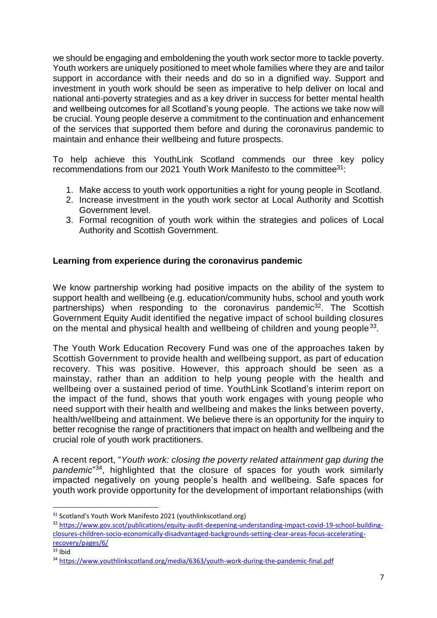we should be engaging and emboldening the youth work sector more to tackle poverty. Youth workers are uniquely positioned to meet whole families where they are and tailor support in accordance with their needs and do so in a dignified way. Support and investment in youth work should be seen as imperative to help deliver on local and national anti-poverty strategies and as a key driver in success for better mental health and wellbeing outcomes for all Scotland's young people. The actions we take now will be crucial. Young people deserve a commitment to the continuation and enhancement of the services that supported them before and during the coronavirus pandemic to maintain and enhance their wellbeing and future prospects.

To help achieve this YouthLink Scotland commends our three key policy recommendations from our 2021 Youth Work Manifesto to the committee<sup>31</sup>:

- 1. Make access to youth work opportunities a right for young people in Scotland.
- 2. Increase investment in the youth work sector at Local Authority and Scottish Government level.
- 3. Formal recognition of youth work within the strategies and polices of Local Authority and Scottish Government.

## **Learning from experience during the coronavirus pandemic**

We know partnership working had positive impacts on the ability of the system to support health and wellbeing (e.g. education/community hubs, school and youth work partnerships) when responding to the coronavirus pandemic<sup>32</sup>. The Scottish Government Equity Audit identified the negative impact of school building closures on the mental and physical health and wellbeing of children and young people  $33$ .

The Youth Work Education Recovery Fund was one of the approaches taken by Scottish Government to provide health and wellbeing support, as part of education recovery. This was positive. However, this approach should be seen as a mainstay, rather than an addition to help young people with the health and wellbeing over a sustained period of time. YouthLink Scotland's interim report on the impact of the fund, shows that youth work engages with young people who need support with their health and wellbeing and makes the links between poverty, health/wellbeing and attainment. We believe there is an opportunity for the inquiry to better recognise the range of practitioners that impact on health and wellbeing and the crucial role of youth work practitioners.

A recent report, "*Youth work: closing the poverty related attainment gap during the pandemic*" 34 , highlighted that the closure of spaces for youth work similarly impacted negatively on young people's health and wellbeing. Safe spaces for youth work provide opportunity for the development of important relationships (with

**.** 

<sup>&</sup>lt;sup>31</sup> Scotland's Youth Work Manifesto 2021 (youthlinkscotland.org)

<sup>32</sup> [https://www.gov.scot/publications/equity-audit-deepening-understanding-impact-covid-19-school-building](https://www.gov.scot/publications/equity-audit-deepening-understanding-impact-covid-19-school-building-closures-children-socio-economically-disadvantaged-backgrounds-setting-clear-areas-focus-accelerating-recovery/pages/6/)[closures-children-socio-economically-disadvantaged-backgrounds-setting-clear-areas-focus-accelerating](https://www.gov.scot/publications/equity-audit-deepening-understanding-impact-covid-19-school-building-closures-children-socio-economically-disadvantaged-backgrounds-setting-clear-areas-focus-accelerating-recovery/pages/6/)[recovery/pages/6/](https://www.gov.scot/publications/equity-audit-deepening-understanding-impact-covid-19-school-building-closures-children-socio-economically-disadvantaged-backgrounds-setting-clear-areas-focus-accelerating-recovery/pages/6/)

 $33$  Ibid

<sup>34</sup> <https://www.youthlinkscotland.org/media/6363/youth-work-during-the-pandemic-final.pdf>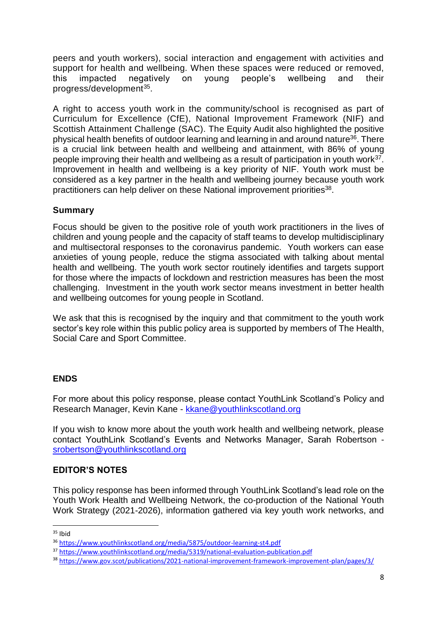peers and youth workers), social interaction and engagement with activities and support for health and wellbeing. When these spaces were reduced or removed, this impacted negatively on young people's wellbeing and their progress/development<sup>35</sup>.

A right to access youth work in the community/school is recognised as part of Curriculum for Excellence (CfE), National Improvement Framework (NIF) and Scottish Attainment Challenge (SAC). The Equity Audit also highlighted the positive physical health benefits of outdoor learning and learning in and around nature<sup>36</sup>. There is a crucial link between health and wellbeing and attainment, with 86% of young people improving their health and wellbeing as a result of participation in youth work<sup>37</sup>. Improvement in health and wellbeing is a key priority of NIF. Youth work must be considered as a key partner in the health and wellbeing journey because youth work practitioners can help deliver on these National improvement priorities<sup>38</sup>.

## **Summary**

Focus should be given to the positive role of youth work practitioners in the lives of children and young people and the capacity of staff teams to develop multidisciplinary and multisectoral responses to the coronavirus pandemic. Youth workers can ease anxieties of young people, reduce the stigma associated with talking about mental health and wellbeing. The youth work sector routinely identifies and targets support for those where the impacts of lockdown and restriction measures has been the most challenging. Investment in the youth work sector means investment in better health and wellbeing outcomes for young people in Scotland.

We ask that this is recognised by the inquiry and that commitment to the youth work sector's key role within this public policy area is supported by members of The Health, Social Care and Sport Committee.

## **ENDS**

For more about this policy response, please contact YouthLink Scotland's Policy and Research Manager, Kevin Kane - [kkane@youthlinkscotland.org](mailto:kkane@youthlinkscotland.org)

If you wish to know more about the youth work health and wellbeing network, please contact YouthLink Scotland's Events and Networks Manager, Sarah Robertson [srobertson@youthlinkscotland.org](mailto:srobertson@youthlinkscotland.org) 

## **EDITOR'S NOTES**

This policy response has been informed through YouthLink Scotland's lead role on the Youth Work Health and Wellbeing Network, the co-production of the National Youth Work Strategy (2021-2026), information gathered via key youth work networks, and

1

 $35$  Ibid

<sup>36</sup> <https://www.youthlinkscotland.org/media/5875/outdoor-learning-st4.pdf>

<sup>37</sup> <https://www.youthlinkscotland.org/media/5319/national-evaluation-publication.pdf>

<sup>38</sup> <https://www.gov.scot/publications/2021-national-improvement-framework-improvement-plan/pages/3/>